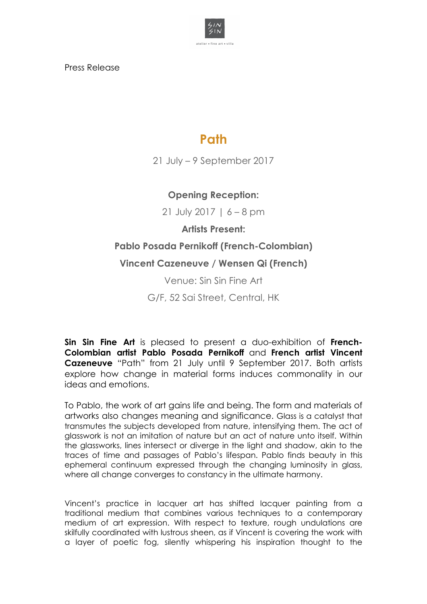

Press Release

# **Path**

21 July – 9 September 2017

### **Opening Reception:**

21 July 2017 | 6 – 8 pm

**Artists Present:** 

## **Pablo Posada Pernikoff (French-Colombian)**

#### **Vincent Cazeneuve / Wensen Qi (French)**

Venue: Sin Sin Fine Art

G/F, 52 Sai Street, Central, HK

**Sin Sin Fine Art** is pleased to present a duo-exhibition of **French-Colombian artist Pablo Posada Pernikoff** and **French artist Vincent Cazeneuve** "Path" from 21 July until 9 September 2017. Both artists explore how change in material forms induces commonality in our ideas and emotions.

To Pablo, the work of art gains life and being. The form and materials of artworks also changes meaning and significance. Glass is a catalyst that transmutes the subjects developed from nature, intensifying them. The act of glasswork is not an imitation of nature but an act of nature unto itself. Within the glassworks, lines intersect or diverge in the light and shadow, akin to the traces of time and passages of Pablo's lifespan. Pablo finds beauty in this ephemeral continuum expressed through the changing luminosity in glass, where all change converges to constancy in the ultimate harmony.

Vincent's practice in lacquer art has shifted lacquer painting from a traditional medium that combines various techniques to a contemporary medium of art expression. With respect to texture, rough undulations are skilfully coordinated with lustrous sheen, as if Vincent is covering the work with a layer of poetic fog, silently whispering his inspiration thought to the